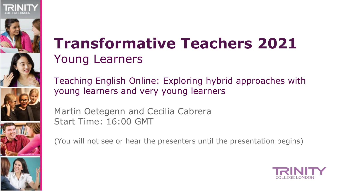







### **Transformative Teachers 2021** Young Learners

Teaching English Online: Exploring hybrid approaches with young learners and very young learners

Martin Oetegenn and Cecilia Cabrera Start Time: 16:00 GMT

(You will not see or hear the presenters until the presentation begins)

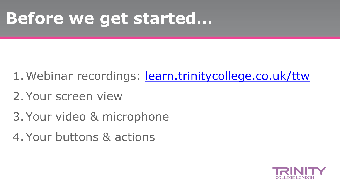## **Before we get started…**

- 1. Webinar recordings: [learn.trinitycollege.co.uk/ttw](https://learn.trinitycollege.co.uk/ttw)
- 2.Your screen view
- 3.Your video & microphone
- 4.Your buttons & actions

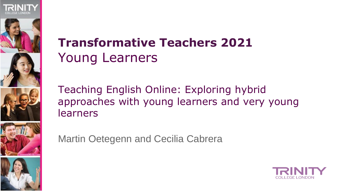







### **Transformative Teachers 2021** Young Learners

Teaching English Online: Exploring hybrid approaches with young learners and very young learners

Martin Oetegenn and Cecilia Cabrera

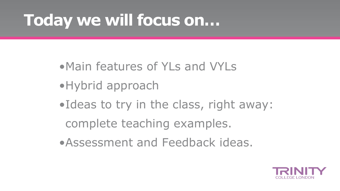## **Today we will focus on…**

- •Main features of YLs and VYLs
- •Hybrid approach
- •Ideas to try in the class, right away: complete teaching examples.
- •Assessment and Feedback ideas.

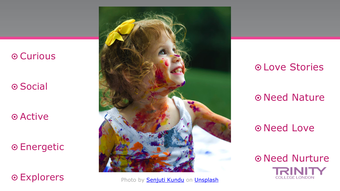#### ๏ Curious

๏ Social

๏ Active

๏ Energetic



**Explorers** Photo by **Senjuti Kundu on [Unsplash](https://unsplash.com/s/photos/toddler?utm_source=unsplash&utm_medium=referral&utm_content=creditCopyText)** 

#### ๏ Love Stories

๏ Need Nature

๏ Need Love

๏ Need Nurture **COLLEGE LONDON**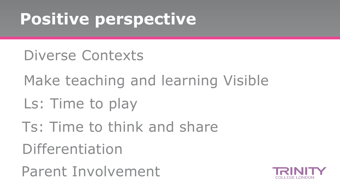## **Positive perspective**

- Diverse Contexts
- Make teaching and learning Visible
- Ls: Time to play
- Differentiation Ts: Time to think and share

Parent Involvement

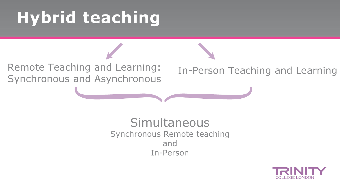## **Hybrid teaching**

Remote Teaching and Learning: Synchronous and Asynchronous

In-Person Teaching and Learning

Simultaneous Synchronous Remote teaching and In-Person

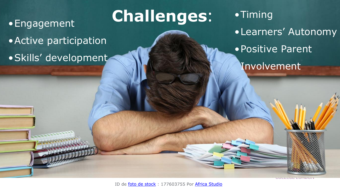#### •Engagement

- •Active participation
- •Skills' development

**Challenges**:

•Timing •Learners' Autonomy •Positive Parent Involvement

ID de [foto de stock](https://www.shutterstock.com/es/photos) : 177603755 Por [Africa Studio](https://www.shutterstock.com/es/g/belchonock)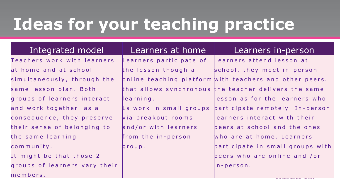## **Ideas for your teaching practice**

Teachers work with learners at home and at school simultaneously, through the same lesson plan. Both groups of learners interact and work together. as a consequence, they preserve their sense of belonging to the same learning c o m m u n i t y . It might be that those 2 groups of learners vary their

m e m b e r s.

the lesson though a learning.  $\mathsf{L}s$  work in small groups v i a b r e a k o u t r o o m s and/or with learners from the in-person g r o u p .

#### Integrated model | Learners at home | Learners in-person

Learners participate of Learners attend lesson at online teaching platform with teachers and other peers. that allows synchronous the teacher delivers the same school. they meet in-person lesson as for the learners who p a r ticipate remotely. In-person learners interact with their peers at school and the ones who are at home. Learners participate in small groups with peers who are online and /or i n - p e r s o n .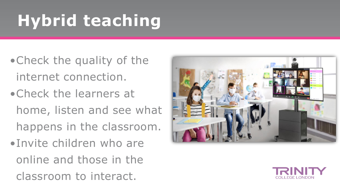## **Hybrid teaching**

- •Check the quality of the internet connection.
- •Check the learners at home, listen and see what happens in the classroom.
- •Invite children who are online and those in the classroom to interact.



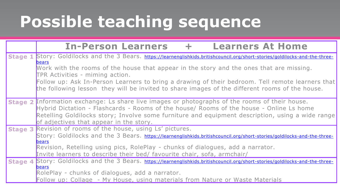## **Possible teaching sequence**

|                | <b>In-Person Learners</b><br><b>Learners At Home</b>                                                                                                                                                                                                                                                                                     |  |  |  |  |
|----------------|------------------------------------------------------------------------------------------------------------------------------------------------------------------------------------------------------------------------------------------------------------------------------------------------------------------------------------------|--|--|--|--|
| <b>Stage 1</b> | Story: Goldilocks and the 3 Bears. https://learnenglishkids.britishcouncil.org/short-stories/goldilocks-and-the-three-                                                                                                                                                                                                                   |  |  |  |  |
|                | <b>bears</b><br>Work with the rooms of the house that appear in the story and the ones that are missing.<br>TPR Activities - miming action.                                                                                                                                                                                              |  |  |  |  |
|                | Follow up: Ask In-Person Learners to bring a drawing of their bedroom. Tell remote learners that<br>the following lesson they will be invited to share images of the different rooms of the house.                                                                                                                                       |  |  |  |  |
|                | Stage 2 Information exchange: Ls share live images or photographs of the rooms of their house.<br>Hybrid Dictation - Flashcards - Rooms of the house/ Rooms of the house - Online Ls home<br>Retelling Goldilocks story; Involve some furniture and equipment description, using a wide range<br>of adjectives that appear in the story. |  |  |  |  |
|                | Stage 3 Revision of rooms of the house, using Ls' pictures.                                                                                                                                                                                                                                                                              |  |  |  |  |
|                | Story: Goldilocks and the 3 Bears. https://learnenglishkids.britishcouncil.org/short-stories/goldilocks-and-the-three-                                                                                                                                                                                                                   |  |  |  |  |
|                | <b>bears</b><br>Revision, Retelling using pics, RolePlay - chunks of dialogues, add a narrator.                                                                                                                                                                                                                                          |  |  |  |  |
|                | Invite learners to describe their bed/ favourite chair, sofa, armchair/                                                                                                                                                                                                                                                                  |  |  |  |  |
|                | Stage 4 Story: Goldilocks and the 3 Bears. https://learnenglishkids.britishcouncil.org/short-stories/goldilocks-and-the-three-                                                                                                                                                                                                           |  |  |  |  |
|                | <b>bears</b><br>RolePlay - chunks of dialogues, add a narrator.                                                                                                                                                                                                                                                                          |  |  |  |  |
|                | Follow up: Collage - My House, using materials from Nature or Waste Materials                                                                                                                                                                                                                                                            |  |  |  |  |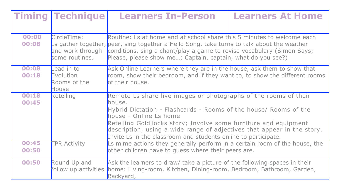| <b>Timing</b>  | <b>Technique</b>                                  | <b>Learners In-Person</b>                                                                                                                                                                                                                                                                                                                                                                 | <b>Learners At Home</b> |  |
|----------------|---------------------------------------------------|-------------------------------------------------------------------------------------------------------------------------------------------------------------------------------------------------------------------------------------------------------------------------------------------------------------------------------------------------------------------------------------------|-------------------------|--|
| 00:00<br>00:08 | CircleTime:<br>and work through<br>some routines. | Routine: Ls at home and at school share this 5 minutes to welcome each<br>Ls gather together, peer, sing together a Hello Song, take turns to talk about the weather<br>conditions, sing a chant/play a game to revise vocabulary (Simon Says;<br>Please, please show me; Captain, captain, what do you see?)                                                                             |                         |  |
| 00:08<br>00:18 | Lead in to<br>Evolution<br>Rooms of the<br>House  | Ask Online Learners where they are in the house, ask them to show that<br>room, show their bedroom, and if they want to, to show the different rooms<br>of their house.                                                                                                                                                                                                                   |                         |  |
| 00:18<br>00:45 | <b>Retelling</b>                                  | Remote Ls share live images or photographs of the rooms of their<br>house.<br>Hybrid Dictation - Flashcards - Rooms of the house/ Rooms of the<br>house - Online Ls home<br>Retelling Goldilocks story; Involve some furniture and equipment<br>description, using a wide range of adjectives that appear in the story.<br>Invite Ls in the classroom and students online to participate. |                         |  |
| 00:45<br>00:50 | <b>TPR Activity</b>                               | Ls mime actions they generally perform in a certain room of the house, the<br>other children have to guess where their peers are.                                                                                                                                                                                                                                                         |                         |  |
| 00:50          | Round Up and<br>follow up activities              | Ask the learners to draw/ take a picture of the following spaces in their<br>home: Living-room, Kitchen, Dining-room, Bedroom, Bathroom, Garden,<br>Backyard,                                                                                                                                                                                                                             |                         |  |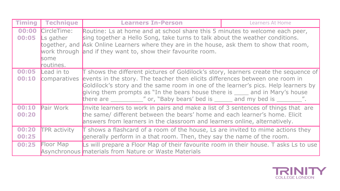| <b>Timing</b>  | <b>Technique</b>                                                      | <b>Learners In-Person</b>                                                                                                                                                                                                                                                                                                                  | <b>Learners At Home</b> |  |
|----------------|-----------------------------------------------------------------------|--------------------------------------------------------------------------------------------------------------------------------------------------------------------------------------------------------------------------------------------------------------------------------------------------------------------------------------------|-------------------------|--|
| 00:00<br>00:05 | CircleTime:<br>Ls gather<br>work through<br><b>s</b> ome<br>routines. | Routine: Ls at home and at school share this 5 minutes to welcome each peer,<br>sing together a Hello Song, take turns to talk about the weather conditions.<br>together, and Ask Online Learners where they are in the house, ask them to show that room,<br>and if they want to, show their favourite room.                              |                         |  |
| 00:05<br>00:10 | Lead in to<br>comparatives                                            | T shows the different pictures of Goldilock's story, learners create the sequence of<br>events in the story. The teacher then elicits differences between one room in<br>Goldilock's story and the same room in one of the learner's pics. Help learners by<br>giving them prompts as "In the bears house there is see and in Mary's house |                         |  |
| 00:10<br>00:20 | <b>Pair Work</b>                                                      | Invite learners to work in pairs and make a list of 3 sentences of things that are<br>the same/ different between the bears' home and each learner's home. Elicit<br>answers from learners in the classroom and learners online, alternatively.                                                                                            |                         |  |
| 00:20<br>00:25 | <b>TPR</b> activity                                                   | T shows a flashcard of a room of the house, Ls are invited to mime actions they<br>generally perform in a that room. Then, they say the name of the room.                                                                                                                                                                                  |                         |  |
| 00:25          | Floor Map                                                             | Ls will prepare a Floor Map of their favourite room in their house. T asks Ls to use<br>Asynchronous materials from Nature or Waste Materials                                                                                                                                                                                              |                         |  |

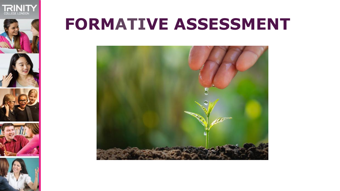





## **FORMATIVE ASSESSMENT**

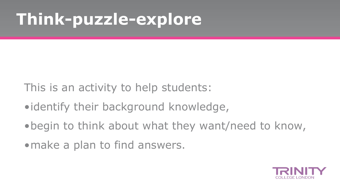## **Think-puzzle-explore**

- This is an activity to help students:
- •identify their background knowledge,
- •begin to think about what they want/need to know,
- make a plan to find answers.

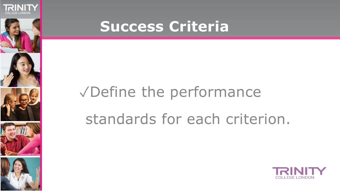







### **Success Criteria**

## ✓Define the performance standards for each criterion.

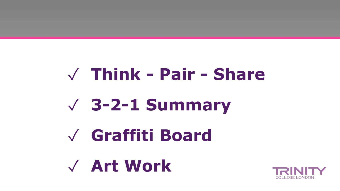# ✓ **Think - Pair - Share** ✓ **3-2-1 Summary** ✓ **Graffiti Board** ✓ **Art Work**

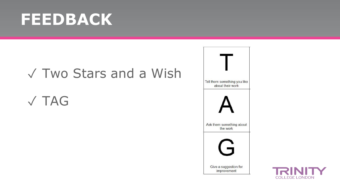## **FEEDBACK**

#### ✓ Two Stars and a Wish

### ✓ TAG



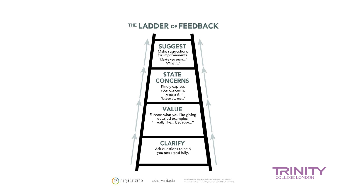





pz.harvard.edu

by David Perkins, King Arthur's Round Table: How Collaborative Conversations Create Smart Organizations (John Wiley Press, 2003).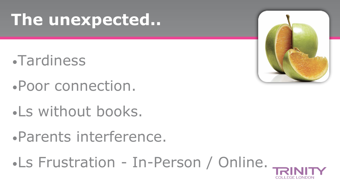## **The unexpected..**

- •Tardiness
- •Poor connection.
- •Ls without books.
- •Parents interference.
- •Ls Frustration In-Person / Online..

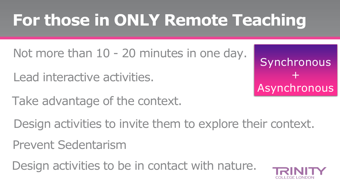## **For those in ONLY Remote Teaching**

- Not more than  $10 20$  minutes in one day.
- Lead interactive activities.
- Take advantage of the context.

Synchronous  $+$ Asynchronous

- Design activities to invite them to explore their context.
- Prevent Sedentarism
- Design activities to be in contact with nature.

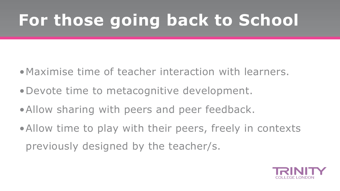## **For those going back to School**

- •Maximise time of teacher interaction with learners.
- •Devote time to metacognitive development.
- •Allow sharing with peers and peer feedback.
- •Allow time to play with their peers, freely in contexts previously designed by the teacher/s.

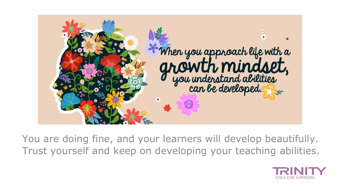

You are doing fine, and your learners will develop beautifully. Trust yourself and keep on developing your teaching abilities.